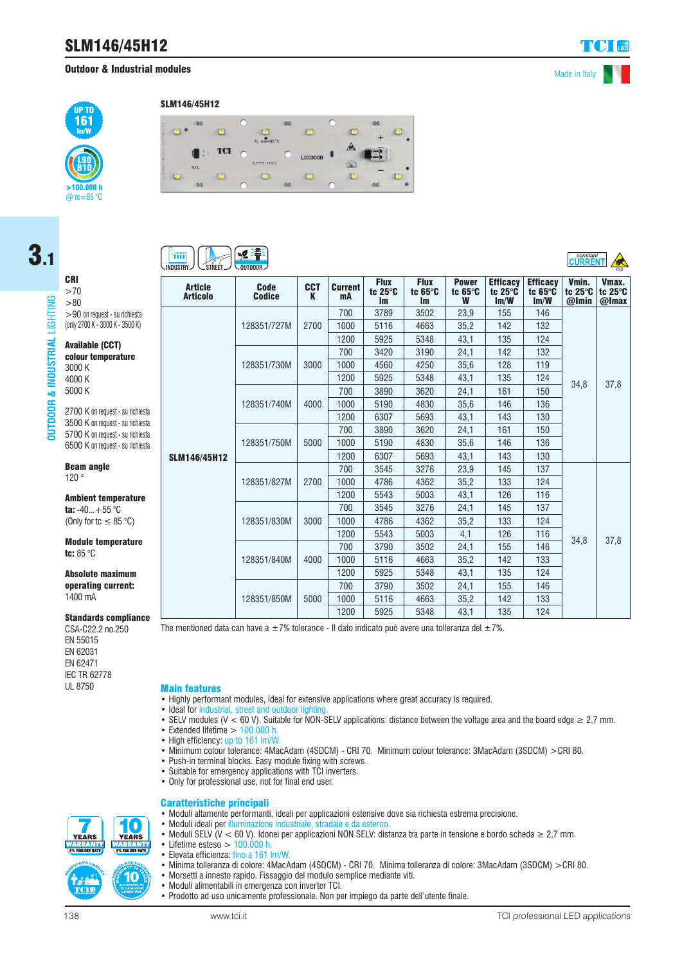# SLM146/45H12

## **Outdoor & Industrial modules** Made in Italy



#### SLM146/45H12



Code

**CCT** 

**Current** 

**Flux** tc 25°C

**Flux** tc 65°C

Power

**Efficacy** 

#### ੶<mark>⋦</mark>⋛⋕⋚  $\mathfrak{m}$

Article

 $SI$ 



CRI >70  $> 80$ 

3.1

2700 K on request - su richiesta 3500 K on request - su richiesta 5700 K on request - su richiesta 6500 K on request - su richiesta

>90 on request - su richiesta (only 2700 K - 3000 K - 3500 K)

Available (CCT) colour temperature

3000 K 4000 K 5000 K

Beam angle 120 °

Ambient temperature ta:  $-40...+55$  °C (Only for tc  $\leq 85$  °C)

#### Module temperature tc: 85 °C

Absolute maximum operating current: 1400 mA

#### Standards compliance

CSA-C22.2 no.250 EN 55015 EN 62031 EN 62471 **IEC TR 62778** 

| AL GOIG<br><b>Articolo</b> | wuut<br><b>Codice</b> | UV I<br>K | ouncne<br>mA | tc $25^\circ$ C<br><b>Im</b> | tc $65^\circ$ C<br>Im | tc $65^\circ$ C<br>W | tc $25^\circ$ C<br>Im/W | tc $65^\circ C$<br>Im/W | tc 25°C   tc 25°C<br>$@$ Imin | @Imax |
|----------------------------|-----------------------|-----------|--------------|------------------------------|-----------------------|----------------------|-------------------------|-------------------------|-------------------------------|-------|
|                            | 128351/727M           | 2700      | 700          | 3789                         | 3502                  | 23,9                 | 155                     | 146                     | 34,8                          | 37,8  |
|                            |                       |           | 1000         | 5116                         | 4663                  | 35,2                 | 142                     | 132                     |                               |       |
|                            |                       |           | 1200         | 5925                         | 5348                  | 43,1                 | 135                     | 124                     |                               |       |
|                            | 128351/730M           | 3000      | 700          | 3420                         | 3190                  | 24,1                 | 142                     | 132                     |                               |       |
|                            |                       |           | 1000         | 4560                         | 4250                  | 35,6                 | 128                     | 119                     |                               |       |
|                            |                       |           | 1200         | 5925                         | 5348                  | 43,1                 | 135                     | 124                     |                               |       |
|                            | 128351/740M           | 4000      | 700          | 3890                         | 3620                  | 24,1                 | 161                     | 150                     |                               |       |
|                            |                       |           | 1000         | 5190                         | 4830                  | 35,6                 | 146                     | 136                     |                               |       |
|                            |                       |           | 1200         | 6307                         | 5693                  | 43,1                 | 143                     | 130                     |                               |       |
|                            | 128351/750M           | 5000      | 700          | 3890                         | 3620                  | 24,1                 | 161                     | 150                     |                               |       |
|                            |                       |           | 1000         | 5190                         | 4830                  | 35,6                 | 146                     | 136                     |                               |       |
| M146/45H12.                |                       |           | 1200         | 6307                         | 5693                  | 43,1                 | 143                     | 130                     |                               |       |
|                            | 128351/827M           | 2700      | 700          | 3545                         | 3276                  | 23,9                 | 145                     | 137                     | 34,8                          | 37,8  |
|                            |                       |           | 1000         | 4786                         | 4362                  | 35,2                 | 133                     | 124                     |                               |       |
|                            |                       |           | 1200         | 5543                         | 5003                  | 43,1                 | 126                     | 116                     |                               |       |
|                            | 128351/830M           | 3000      | 700          | 3545                         | 3276                  | 24,1                 | 145                     | 137                     |                               |       |
|                            |                       |           | 1000         | 4786                         | 4362                  | 35,2                 | 133                     | 124                     |                               |       |
|                            |                       |           | 1200         | 5543                         | 5003                  | 4,1                  | 126                     | 116                     |                               |       |
|                            | 128351/840M           | 4000      | 700          | 3790                         | 3502                  | 24,1                 | 155                     | 146                     |                               |       |
|                            |                       |           | 1000         | 5116                         | 4663                  | 35,2                 | 142                     | 133                     |                               |       |
|                            |                       |           | 1200         | 5925                         | 5348                  | 43,1                 | 135                     | 124                     |                               |       |
|                            | 128351/850M           | 5000      | 700          | 3790                         | 3502                  | 24,1                 | 155                     | 146                     |                               |       |
|                            |                       |           | 1000         | 5116                         | 4663                  | 35,2                 | 142                     | 133                     |                               |       |
|                            |                       |           | 1200         | 5925                         | 5348                  | 43,1                 | 135                     | 124                     |                               |       |

The mentioned data can have a  $\pm 7$ % tolerance - Il dato indicato può avere una tolleranza del  $\pm 7$ %.

### **Main features**

- Highly performant modules, ideal for extensive applications where great accuracy is required.
- Ideal for industrial, street and outdoor lighting
- SELV modules (V < 60 V). Suitable for NON-SELV applications: distance between the voltage area and the board edge  $\geq 2.7$  mm.
- Extended lifetime  $> 100.000$  h.
- High efficiency: up to 161 lm/W.
- Minimum colour tolerance: 4MacAdam (4SDCM) CRI 70. Minimum colour tolerance: 3MacAdam (3SDCM) >CRI 80.
- Push-in terminal blocks. Easy module fixing with screws.
- Suitable for emergency applications with TCI inverters.
- Only for professional use, not for final end user.

#### Caratteristiche principali • Moduli altamente performanti, ideali per applicazioni estensive dove sia richiesta estrema precisione.



- Moduli ideali per illuminazione industriale, stradale e da esterno.
- Moduli SELV (V < 60 V). Idonei per applicazioni NON SELV: distanza tra parte in tensione e bordo scheda ≥ 2,7 mm.
- Lifetime esteso  $> 100.000$  h.<br>• Elevata efficienza: fino a 161 l • Elevata efficienza: fino a 161 lm/W.
- Minima tolleranza di colore: 4MacAdam (4SDCM) CRI 70. Minima tolleranza di colore: 3MacAdam (3SDCM) >CRI 80.
- Morsetti a innesto rapido. Fissaggio del modulo semplice mediante viti.
- Moduli alimentabili in emergenza con inverter TCI.
- Prodotto ad uso unicamente professionale. Non per impiego da parte dell'utente finale.